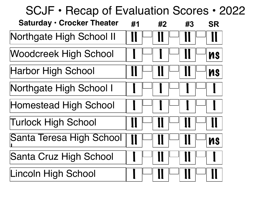# **Saturday • Crocker Theater** SCJF • Recap of Evaluation Scores • 2022 **#1 #2 #3 SR** Northgate High School II Woodcreek High School  $\| \cdot \| \vdash \| \cdot \| \cdot \|$   $\| \vdash \|$  ns  $\blacksquare$ Harbor High School  $\blacksquare$  II  $\blacksquare$  II  $\blacksquare$  II  $\blacksquare$  IIs Northgate High School I Homestead High School Turlock High School Santa Teresa High School <sup>I</sup> II II II ns Santa Cruz High School Lincoln High School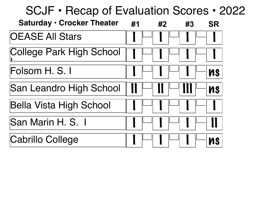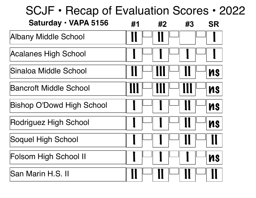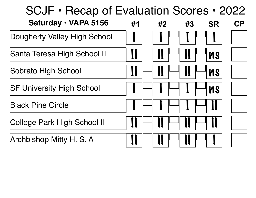| Saturday · VAPA 5156             | #1 | #2 | #3 | <b>SR</b> | $\mathsf{CP}$ |
|----------------------------------|----|----|----|-----------|---------------|
| Dougherty Valley High School     |    |    |    |           |               |
| Santa Teresa High School II      |    |    |    | <b>NS</b> |               |
| Sobrato High School              |    |    |    | <b>NS</b> |               |
| <b>SF University High School</b> |    |    |    | <b>NS</b> |               |
| <b>Black Pine Circle</b>         |    |    |    |           |               |
| College Park High School II      |    |    |    |           |               |
| Archbishop Mitty H. S. A         |    |    |    |           |               |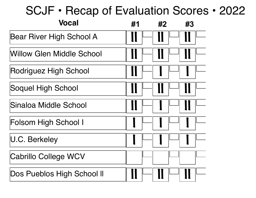| <b>Vocal</b>                     | #1 | #2 | #3 |
|----------------------------------|----|----|----|
| Bear River High School A         |    |    |    |
| <b>Willow Glen Middle School</b> |    |    |    |
| Rodriguez High School            |    |    |    |
| Soquel High School               |    |    |    |
| Sinaloa Middle School            |    |    |    |
| <b>Folsom High School I</b>      |    |    |    |
| U.C. Berkeley                    |    |    |    |
| <b>Cabrillo College WCV</b>      |    |    |    |
| Dos Pueblos High School II       |    |    |    |